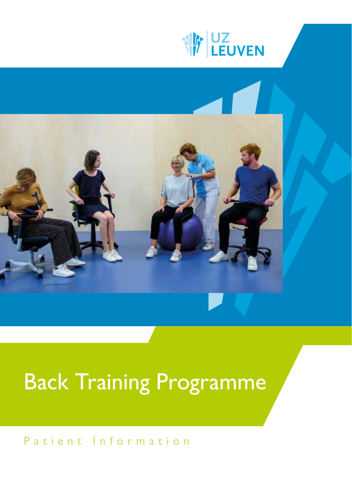



# Back Training Programme

# Patient Information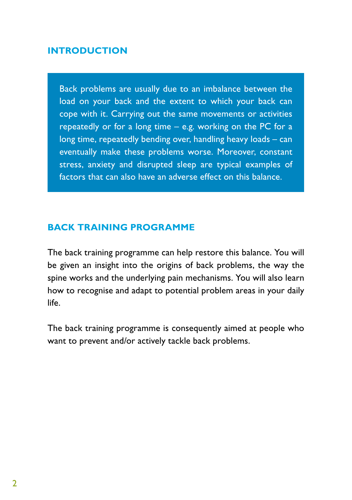### **INTRODUCTION**

Back problems are usually due to an imbalance between the load on your back and the extent to which your back can cope with it. Carrying out the same movements or activities repeatedly or for a long time – e.g. working on the PC for a long time, repeatedly bending over, handling heavy loads – can eventually make these problems worse. Moreover, constant stress, anxiety and disrupted sleep are typical examples of factors that can also have an adverse effect on this balance.

## **BACK TRAINING PROGRAMME**

The back training programme can help restore this balance. You will be given an insight into the origins of back problems, the way the spine works and the underlying pain mechanisms. You will also learn how to recognise and adapt to potential problem areas in your daily life.

The back training programme is consequently aimed at people who want to prevent and/or actively tackle back problems.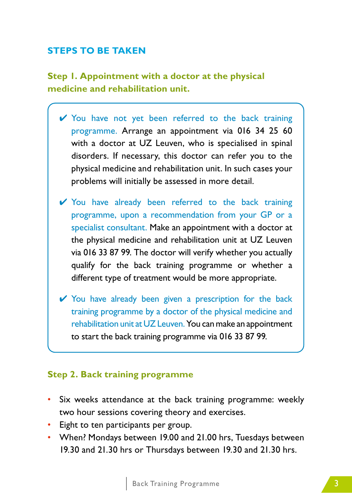## **STEPS TO BE TAKEN**

## **Step 1. Appointment with a doctor at the physical medicine and rehabilitation unit.**

- ✔ You have not yet been referred to the back training programme. Arrange an appointment via 016 34 25 60 with a doctor at UZ Leuven, who is specialised in spinal disorders. If necessary, this doctor can refer you to the physical medicine and rehabilitation unit. In such cases your problems will initially be assessed in more detail.
- ✔ You have already been referred to the back training programme, upon a recommendation from your GP or a specialist consultant. Make an appointment with a doctor at the physical medicine and rehabilitation unit at UZ Leuven via 016 33 87 99. The doctor will verify whether you actually qualify for the back training programme or whether a different type of treatment would be more appropriate.
- ✔ You have already been given a prescription for the back training programme by a doctor of the physical medicine and rehabilitation unit at UZ Leuven. You can make an appointment to start the back training programme via 016 33 87 99.

#### **Step 2. Back training programme**

- Six weeks attendance at the back training programme: weekly two hour sessions covering theory and exercises.
- Eight to ten participants per group.
- When? Mondays between 19.00 and 21.00 hrs, Tuesdays between 19.30 and 21.30 hrs or Thursdays between 19.30 and 21.30 hrs.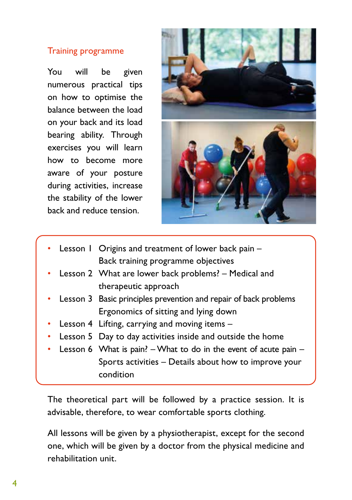### Training programme

You will be given numerous practical tips on how to optimise the balance between the load on your back and its load bearing ability. Through exercises you will learn how to become more aware of your posture during activities, increase the stability of the lower back and reduce tension.



- Lesson 1 Origins and treatment of lower back pain Back training programme objectives
- Lesson 2 What are lower back problems? Medical and therapeutic approach
- Lesson 3 Basic principles prevention and repair of back problems Ergonomics of sitting and lying down
- Lesson 4 Lifting, carrying and moving items –
- Lesson 5 Day to day activities inside and outside the home
- Lesson 6 What is pain?  $-$  What to do in the event of acute pain  $-$ Sports activities – Details about how to improve your condition

The theoretical part will be followed by a practice session. It is advisable, therefore, to wear comfortable sports clothing.

All lessons will be given by a physiotherapist, except for the second one, which will be given by a doctor from the physical medicine and rehabilitation unit.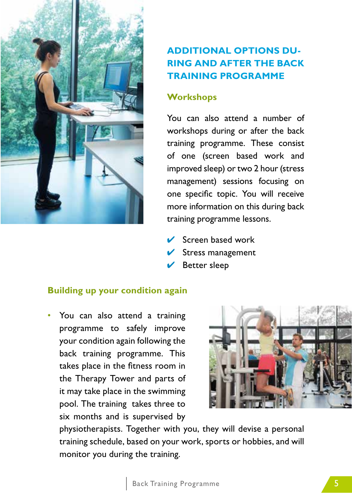

## **ADDITIONAL OPTIONS DU-RING AND AFTER THE BACK TRAINING PROGRAMME**

## **Workshops**

You can also attend a number of workshops during or after the back training programme. These consist of one (screen based work and improved sleep) or two 2 hour (stress management) sessions focusing on one specific topic. You will receive more information on this during back training programme lessons.

- $\vee$  Screen based work
- $\vee$  Stress management
- $\vee$  Better sleep

## **Building up your condition again**

• You can also attend a training programme to safely improve your condition again following the back training programme. This takes place in the fitness room in the Therapy Tower and parts of it may take place in the swimming pool. The training takes three to six months and is supervised by



physiotherapists. Together with you, they will devise a personal training schedule, based on your work, sports or hobbies, and will monitor you during the training.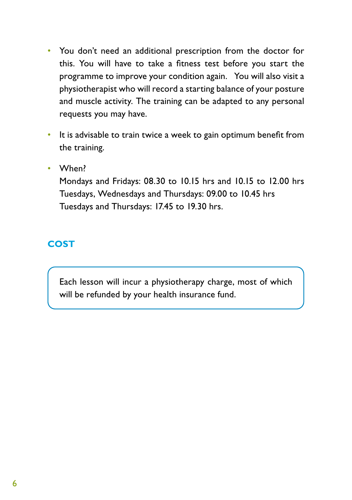- You don't need an additional prescription from the doctor for this. You will have to take a fitness test before you start the programme to improve your condition again. You will also visit a physiotherapist who will record a starting balance of your posture and muscle activity. The training can be adapted to any personal requests you may have.
- It is advisable to train twice a week to gain optimum benefit from the training.
- When?

Mondays and Fridays: 08.30 to 10.15 hrs and 10.15 to 12.00 hrs Tuesdays, Wednesdays and Thursdays: 09.00 to 10.45 hrs Tuesdays and Thursdays: 17.45 to 19.30 hrs.

## **COST**

Each lesson will incur a physiotherapy charge, most of which will be refunded by your health insurance fund.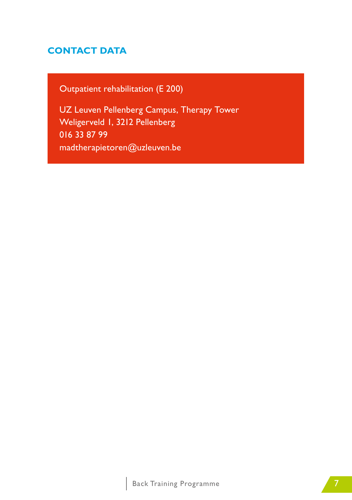## **CONTACT DATA**

Outpatient rehabilitation (E 200)

UZ Leuven Pellenberg Campus, Therapy Tower Weligerveld 1, 3212 Pellenberg 016 33 87 99 madtherapietoren@uzleuven.be